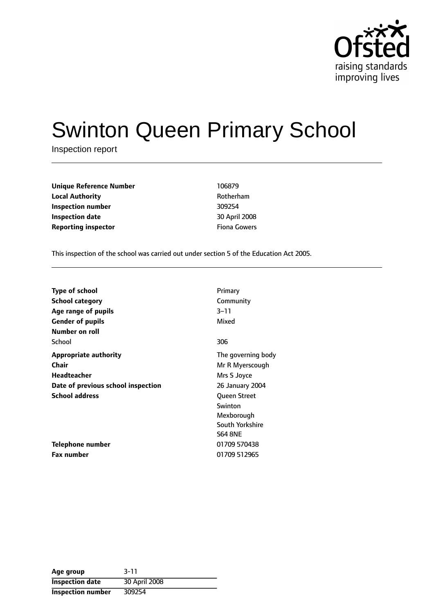

# Swinton Queen Primary School

Inspection report

| 106879  |
|---------|
| Rotherl |
| 309254  |
| 30 Apri |
| Fiona C |
|         |

**Local Authority** Rotherham **Inspection number** 309254 **Inspection date** 30 April 2008 **Fiona Gowers** 

This inspection of the school was carried out under section 5 of the Education Act 2005.

| <b>Type of school</b>              | Primary             |
|------------------------------------|---------------------|
| <b>School category</b>             | Community           |
| Age range of pupils                | $3 - 11$            |
| <b>Gender of pupils</b>            | Mixed               |
| Number on roll                     |                     |
| School                             | 306                 |
| <b>Appropriate authority</b>       | The governing body  |
| Chair                              | Mr R Myerscough     |
| Headteacher                        | Mrs S Joyce         |
| Date of previous school inspection | 26 January 2004     |
| <b>School address</b>              | <b>Oueen Street</b> |
|                                    | Swinton             |
|                                    | Mexborough          |
|                                    | South Yorkshire     |
|                                    | <b>S64 8NE</b>      |
| Telephone number                   | 01709 570438        |
| <b>Fax number</b>                  | 01709 512965        |

| Age group              | $3 - 11$      |
|------------------------|---------------|
| <b>Inspection date</b> | 30 April 2008 |
| Inspection number      | 309254        |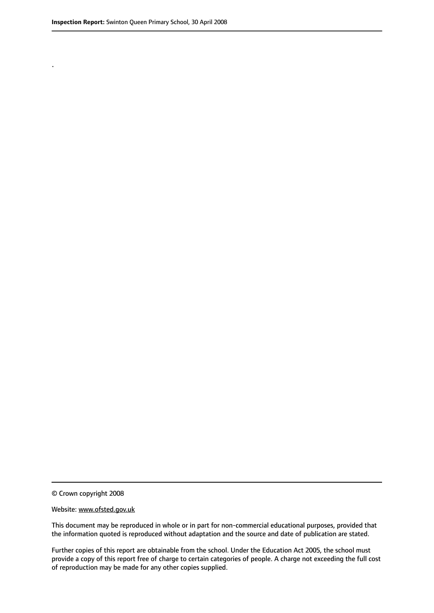.

© Crown copyright 2008

#### Website: www.ofsted.gov.uk

This document may be reproduced in whole or in part for non-commercial educational purposes, provided that the information quoted is reproduced without adaptation and the source and date of publication are stated.

Further copies of this report are obtainable from the school. Under the Education Act 2005, the school must provide a copy of this report free of charge to certain categories of people. A charge not exceeding the full cost of reproduction may be made for any other copies supplied.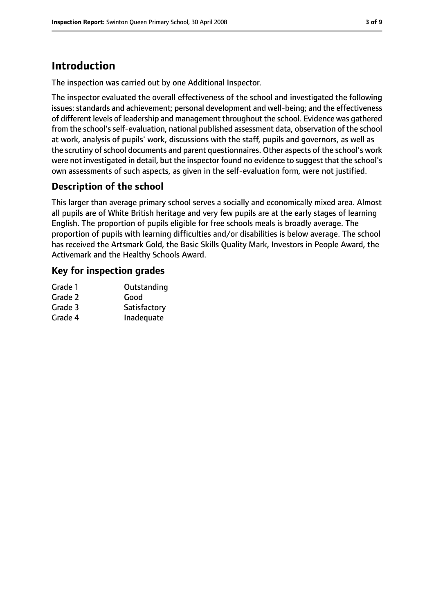# **Introduction**

The inspection was carried out by one Additional Inspector.

The inspector evaluated the overall effectiveness of the school and investigated the following issues: standards and achievement; personal development and well-being; and the effectiveness of different levels of leadership and management throughout the school. Evidence was gathered from the school's self-evaluation, national published assessment data, observation of the school at work, analysis of pupils' work, discussions with the staff, pupils and governors, as well as the scrutiny of school documents and parent questionnaires. Other aspects of the school's work were not investigated in detail, but the inspector found no evidence to suggest that the school's own assessments of such aspects, as given in the self-evaluation form, were not justified.

## **Description of the school**

This larger than average primary school serves a socially and economically mixed area. Almost all pupils are of White British heritage and very few pupils are at the early stages of learning English. The proportion of pupils eligible for free schools meals is broadly average. The proportion of pupils with learning difficulties and/or disabilities is below average. The school has received the Artsmark Gold, the Basic Skills Quality Mark, Investors in People Award, the Activemark and the Healthy Schools Award.

#### **Key for inspection grades**

| Grade 1 | Outstanding  |
|---------|--------------|
| Grade 2 | Good         |
| Grade 3 | Satisfactory |
| Grade 4 | Inadequate   |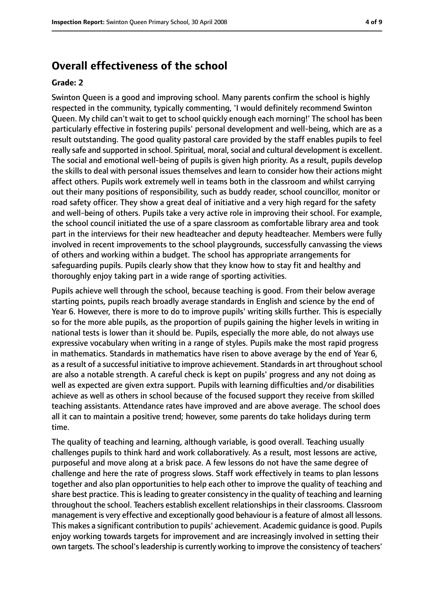## **Overall effectiveness of the school**

#### **Grade: 2**

Swinton Queen is a good and improving school. Many parents confirm the school is highly respected in the community, typically commenting, 'I would definitely recommend Swinton Queen. My child can't wait to get to school quickly enough each morning!' The school has been particularly effective in fostering pupils' personal development and well-being, which are as a result outstanding. The good quality pastoral care provided by the staff enables pupils to feel really safe and supported in school. Spiritual, moral, social and cultural development is excellent. The social and emotional well-being of pupils is given high priority. As a result, pupils develop the skills to deal with personal issues themselves and learn to consider how their actions might affect others. Pupils work extremely well in teams both in the classroom and whilst carrying out their many positions of responsibility, such as buddy reader, school councillor, monitor or road safety officer. They show a great deal of initiative and a very high regard for the safety and well-being of others. Pupils take a very active role in improving their school. For example, the school council initiated the use of a spare classroom as comfortable library area and took part in the interviews for their new headteacher and deputy headteacher. Members were fully involved in recent improvements to the school playgrounds, successfully canvassing the views of others and working within a budget. The school has appropriate arrangements for safeguarding pupils. Pupils clearly show that they know how to stay fit and healthy and thoroughly enjoy taking part in a wide range of sporting activities.

Pupils achieve well through the school, because teaching is good. From their below average starting points, pupils reach broadly average standards in English and science by the end of Year 6. However, there is more to do to improve pupils' writing skills further. This is especially so for the more able pupils, as the proportion of pupils gaining the higher levels in writing in national tests is lower than it should be. Pupils, especially the more able, do not always use expressive vocabulary when writing in a range of styles. Pupils make the most rapid progress in mathematics. Standards in mathematics have risen to above average by the end of Year 6, as a result of a successful initiative to improve achievement. Standards in art throughout school are also a notable strength. A careful check is kept on pupils' progress and any not doing as well as expected are given extra support. Pupils with learning difficulties and/or disabilities achieve as well as others in school because of the focused support they receive from skilled teaching assistants. Attendance rates have improved and are above average. The school does all it can to maintain a positive trend; however, some parents do take holidays during term time.

The quality of teaching and learning, although variable, is good overall. Teaching usually challenges pupils to think hard and work collaboratively. As a result, most lessons are active, purposeful and move along at a brisk pace. A few lessons do not have the same degree of challenge and here the rate of progress slows. Staff work effectively in teams to plan lessons together and also plan opportunities to help each other to improve the quality of teaching and share best practice. This is leading to greater consistency in the quality of teaching and learning throughout the school. Teachers establish excellent relationships in their classrooms. Classroom management is very effective and exceptionally good behaviour is a feature of almost all lessons. This makes a significant contribution to pupils' achievement. Academic guidance is good. Pupils enjoy working towards targets for improvement and are increasingly involved in setting their own targets. The school's leadership is currently working to improve the consistency of teachers'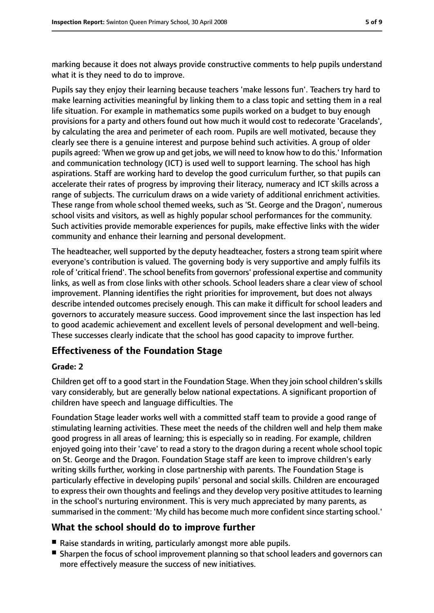marking because it does not always provide constructive comments to help pupils understand what it is they need to do to improve.

Pupils say they enjoy their learning because teachers 'make lessons fun'. Teachers try hard to make learning activities meaningful by linking them to a class topic and setting them in a real life situation. For example in mathematics some pupils worked on a budget to buy enough provisions for a party and others found out how much it would cost to redecorate 'Gracelands', by calculating the area and perimeter of each room. Pupils are well motivated, because they clearly see there is a genuine interest and purpose behind such activities. A group of older pupils agreed: 'When we grow up and get jobs, we will need to know how to do this.' Information and communication technology (ICT) is used well to support learning. The school has high aspirations. Staff are working hard to develop the good curriculum further, so that pupils can accelerate their rates of progress by improving their literacy, numeracy and ICT skills across a range of subjects. The curriculum draws on a wide variety of additional enrichment activities. These range from whole school themed weeks, such as 'St. George and the Dragon', numerous school visits and visitors, as well as highly popular school performances for the community. Such activities provide memorable experiences for pupils, make effective links with the wider community and enhance their learning and personal development.

The headteacher, well supported by the deputy headteacher, fosters a strong team spirit where everyone's contribution is valued. The governing body is very supportive and amply fulfils its role of 'critical friend'. The school benefits from governors' professional expertise and community links, as well as from close links with other schools. School leaders share a clear view of school improvement. Planning identifies the right priorities for improvement, but does not always describe intended outcomes precisely enough. This can make it difficult for school leaders and governors to accurately measure success. Good improvement since the last inspection has led to good academic achievement and excellent levels of personal development and well-being. These successes clearly indicate that the school has good capacity to improve further.

#### **Effectiveness of the Foundation Stage**

#### **Grade: 2**

Children get off to a good start in the Foundation Stage. When they join school children's skills vary considerably, but are generally below national expectations. A significant proportion of children have speech and language difficulties. The

Foundation Stage leader works well with a committed staff team to provide a good range of stimulating learning activities. These meet the needs of the children well and help them make good progress in all areas of learning; this is especially so in reading. For example, children enjoyed going into their 'cave' to read a story to the dragon during a recent whole school topic on St. George and the Dragon. Foundation Stage staff are keen to improve children's early writing skills further, working in close partnership with parents. The Foundation Stage is particularly effective in developing pupils' personal and social skills. Children are encouraged to express their own thoughts and feelings and they develop very positive attitudes to learning in the school's nurturing environment. This is very much appreciated by many parents, as summarised in the comment: 'My child has become much more confident since starting school.'

## **What the school should do to improve further**

- Raise standards in writing, particularly amongst more able pupils.
- Sharpen the focus of school improvement planning so that school leaders and governors can more effectively measure the success of new initiatives.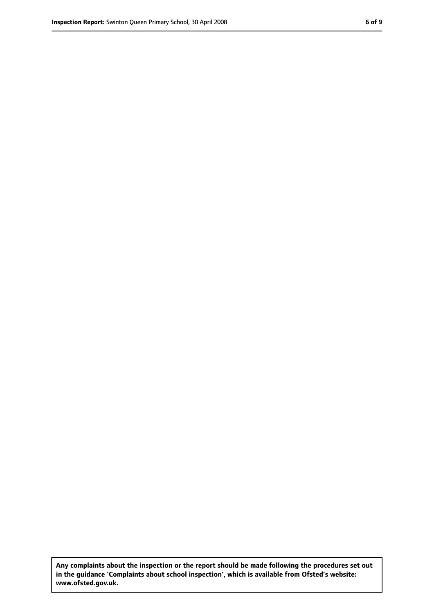**Any complaints about the inspection or the report should be made following the procedures set out in the guidance 'Complaints about school inspection', which is available from Ofsted's website: www.ofsted.gov.uk.**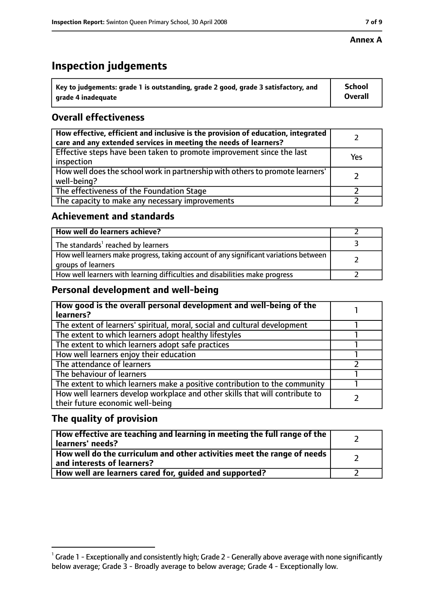#### **Annex A**

## **Inspection judgements**

| $^{\backprime}$ Key to judgements: grade 1 is outstanding, grade 2 good, grade 3 satisfactory, and | <b>School</b>  |
|----------------------------------------------------------------------------------------------------|----------------|
| arade 4 inadequate                                                                                 | <b>Overall</b> |

## **Overall effectiveness**

| How effective, efficient and inclusive is the provision of education, integrated<br>care and any extended services in meeting the needs of learners? |     |
|------------------------------------------------------------------------------------------------------------------------------------------------------|-----|
| Effective steps have been taken to promote improvement since the last<br>inspection                                                                  | Yes |
| How well does the school work in partnership with others to promote learners'<br>well-being?                                                         |     |
| The effectiveness of the Foundation Stage                                                                                                            |     |
| The capacity to make any necessary improvements                                                                                                      |     |

#### **Achievement and standards**

| How well do learners achieve?                                                                               |  |
|-------------------------------------------------------------------------------------------------------------|--|
| The standards <sup>1</sup> reached by learners                                                              |  |
| How well learners make progress, taking account of any significant variations between<br>groups of learners |  |
| How well learners with learning difficulties and disabilities make progress                                 |  |

#### **Personal development and well-being**

| How good is the overall personal development and well-being of the<br>learners?                                  |  |
|------------------------------------------------------------------------------------------------------------------|--|
| The extent of learners' spiritual, moral, social and cultural development                                        |  |
| The extent to which learners adopt healthy lifestyles                                                            |  |
| The extent to which learners adopt safe practices                                                                |  |
| How well learners enjoy their education                                                                          |  |
| The attendance of learners                                                                                       |  |
| The behaviour of learners                                                                                        |  |
| The extent to which learners make a positive contribution to the community                                       |  |
| How well learners develop workplace and other skills that will contribute to<br>their future economic well-being |  |

#### **The quality of provision**

| How effective are teaching and learning in meeting the full range of the<br>learners' needs?          |  |
|-------------------------------------------------------------------------------------------------------|--|
| How well do the curriculum and other activities meet the range of needs<br>and interests of learners? |  |
| How well are learners cared for, guided and supported?                                                |  |

 $^1$  Grade 1 - Exceptionally and consistently high; Grade 2 - Generally above average with none significantly below average; Grade 3 - Broadly average to below average; Grade 4 - Exceptionally low.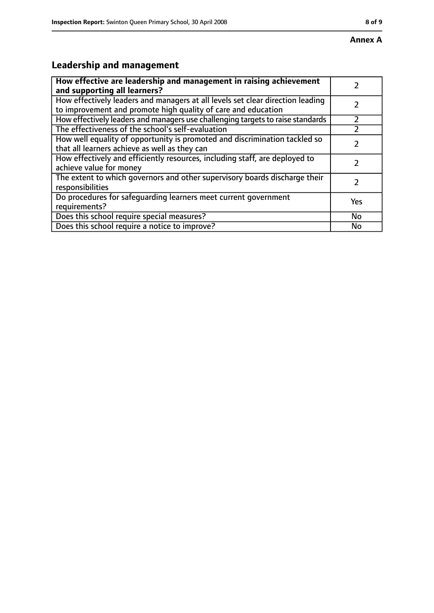# **Leadership and management**

| How effective are leadership and management in raising achievement<br>and supporting all learners?                                              |     |
|-------------------------------------------------------------------------------------------------------------------------------------------------|-----|
| How effectively leaders and managers at all levels set clear direction leading<br>to improvement and promote high quality of care and education |     |
| How effectively leaders and managers use challenging targets to raise standards                                                                 |     |
| The effectiveness of the school's self-evaluation                                                                                               |     |
| How well equality of opportunity is promoted and discrimination tackled so<br>that all learners achieve as well as they can                     |     |
| How effectively and efficiently resources, including staff, are deployed to<br>achieve value for money                                          |     |
| The extent to which governors and other supervisory boards discharge their<br>responsibilities                                                  |     |
| Do procedures for safequarding learners meet current government<br>requirements?                                                                | Yes |
| Does this school require special measures?                                                                                                      | No  |
| Does this school require a notice to improve?                                                                                                   | No  |